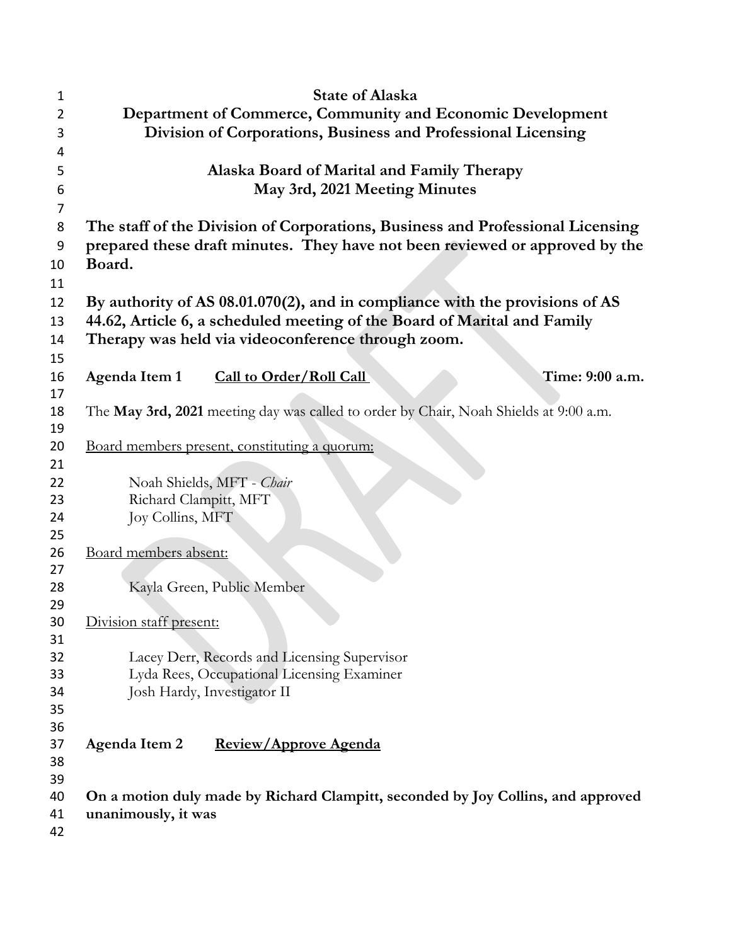| 1        | <b>State of Alaska</b>                                                                |
|----------|---------------------------------------------------------------------------------------|
| 2        | Department of Commerce, Community and Economic Development                            |
| 3        | Division of Corporations, Business and Professional Licensing                         |
| 4        |                                                                                       |
| 5        | Alaska Board of Marital and Family Therapy                                            |
| 6        | May 3rd, 2021 Meeting Minutes                                                         |
| 7        |                                                                                       |
| 8        | The staff of the Division of Corporations, Business and Professional Licensing        |
| 9        | prepared these draft minutes. They have not been reviewed or approved by the          |
| 10       | Board.                                                                                |
| 11       |                                                                                       |
| 12       | By authority of AS 08.01.070(2), and in compliance with the provisions of AS          |
| 13       | 44.62, Article 6, a scheduled meeting of the Board of Marital and Family              |
| 14       | Therapy was held via videoconference through zoom.                                    |
| 15       |                                                                                       |
| 16       | Time: 9:00 a.m.<br>Agenda Item 1<br><b>Call to Order/Roll Call</b>                    |
| 17       |                                                                                       |
| 18       | The May 3rd, 2021 meeting day was called to order by Chair, Noah Shields at 9:00 a.m. |
| 19       |                                                                                       |
| 20       | <u>Board members present, constituting a quorum:</u>                                  |
| 21       |                                                                                       |
| 22       | Noah Shields, MFT - Chair                                                             |
| 23       | Richard Clampitt, MFT                                                                 |
| 24       | Joy Collins, MFT                                                                      |
| 25<br>26 | Board members absent:                                                                 |
| 27       |                                                                                       |
| 28       | Kayla Green, Public Member                                                            |
| 29       |                                                                                       |
| 30       | Division staff present:                                                               |
| 31       |                                                                                       |
| 32       | Lacey Derr, Records and Licensing Supervisor                                          |
| 33       | Lyda Rees, Occupational Licensing Examiner                                            |
| 34       | Josh Hardy, Investigator II                                                           |
| 35       |                                                                                       |
| 36       |                                                                                       |
| 37       | Agenda Item 2<br>Review/Approve Agenda                                                |
| 38       |                                                                                       |
| 39       |                                                                                       |
| 40       | On a motion duly made by Richard Clampitt, seconded by Joy Collins, and approved      |
| 41       | unanimously, it was                                                                   |
| 42       |                                                                                       |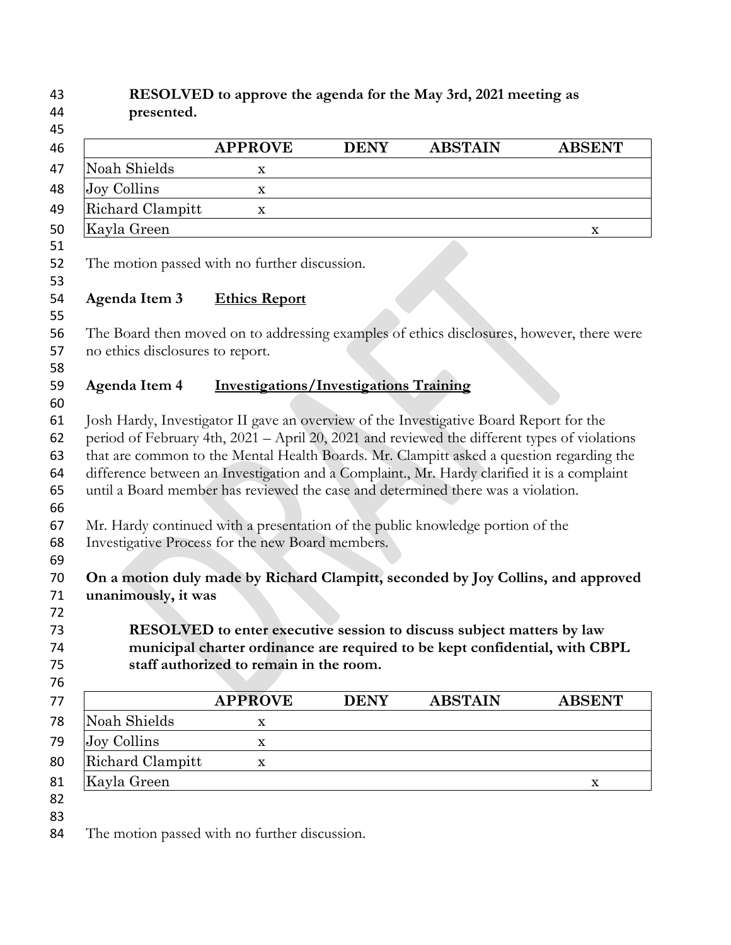#### **RESOLVED to approve the agenda for the May 3rd, 2021 meeting as presented.**

|                  | <b>APPROVE</b> | <b>DENY</b> | <b>ABSTAIN</b> | <b>ABSENT</b> |
|------------------|----------------|-------------|----------------|---------------|
| Noah Shields     | x              |             |                |               |
| Joy Collins      | X              |             |                |               |
| Richard Clampitt | X              |             |                |               |
| Kayla Green      |                |             |                | x             |
|                  |                |             |                |               |

The motion passed with no further discussion.

### **Agenda Item 3 Ethics Report**

 The Board then moved on to addressing examples of ethics disclosures, however, there were no ethics disclosures to report.

# 

### **Agenda Item 4 Investigations/Investigations Training**

 Josh Hardy, Investigator II gave an overview of the Investigative Board Report for the period of February 4th, 2021 – April 20, 2021 and reviewed the different types of violations that are common to the Mental Health Boards. Mr. Clampitt asked a question regarding the difference between an Investigation and a Complaint., Mr. Hardy clarified it is a complaint until a Board member has reviewed the case and determined there was a violation.

- Mr. Hardy continued with a presentation of the public knowledge portion of the
- Investigative Process for the new Board members.
- 

## **On a motion duly made by Richard Clampitt, seconded by Joy Collins, and approved unanimously, it was**

 **RESOLVED to enter executive session to discuss subject matters by law municipal charter ordinance are required to be kept confidential, with CBPL staff authorized to remain in the room.** 

| 77 |                  | <b>APPROVE</b> | <b>DENY</b> | <b>ABSTAIN</b> | <b>ABSENT</b> |
|----|------------------|----------------|-------------|----------------|---------------|
| 78 | Noah Shields     | x              |             |                |               |
| 79 | Joy Collins      | x              |             |                |               |
| 80 | Richard Clampitt | x              |             |                |               |
| 81 | Kayla Green      |                |             |                | x             |
| 82 |                  |                |             |                |               |

The motion passed with no further discussion.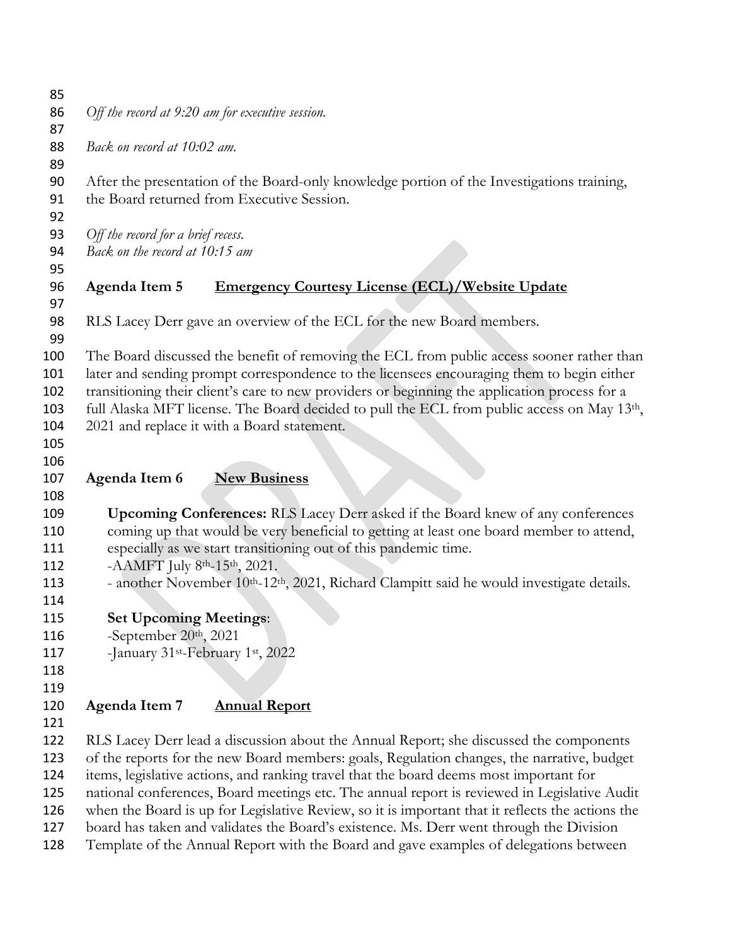*Off the record at 9:20 am for executive session.* 

*Back on record at 10:02 am.*

 After the presentation of the Board-only knowledge portion of the Investigations training, the Board returned from Executive Session.

*Off the record for a brief recess.* 

*Back on the record at 10:15 am*

## **Agenda Item 5 Emergency Courtesy License (ECL)/Website Update**

RLS Lacey Derr gave an overview of the ECL for the new Board members.

 The Board discussed the benefit of removing the ECL from public access sooner rather than later and sending prompt correspondence to the licensees encouraging them to begin either

transitioning their client's care to new providers or beginning the application process for a

103 full Alaska MFT license. The Board decided to pull the ECL from public access on May  $13<sup>th</sup>$ ,

- 2021 and replace it with a Board statement.
- 

**Agenda Item 6 New Business**

 **Upcoming Conferences:** RLS Lacey Derr asked if the Board knew of any conferences coming up that would be very beneficial to getting at least one board member to attend, especially as we start transitioning out of this pandemic time.

112 -  $AAMFT$  July 8<sup>th</sup>-15<sup>th</sup>, 2021.

- 113 another November 10<sup>th</sup>-12<sup>th</sup>, 2021, Richard Clampitt said he would investigate details.
- **Set Upcoming Meetings**:
- 116 -September  $20<sup>th</sup>$ ,  $2021$
- 117 January <sup>st</sup>-February  $1$ <sup>st</sup>, 2022
- 

# **Agenda Item 7 Annual Report**

 RLS Lacey Derr lead a discussion about the Annual Report; she discussed the components of the reports for the new Board members: goals, Regulation changes, the narrative, budget items, legislative actions, and ranking travel that the board deems most important for national conferences, Board meetings etc. The annual report is reviewed in Legislative Audit when the Board is up for Legislative Review, so it is important that it reflects the actions the board has taken and validates the Board's existence. Ms. Derr went through the Division Template of the Annual Report with the Board and gave examples of delegations between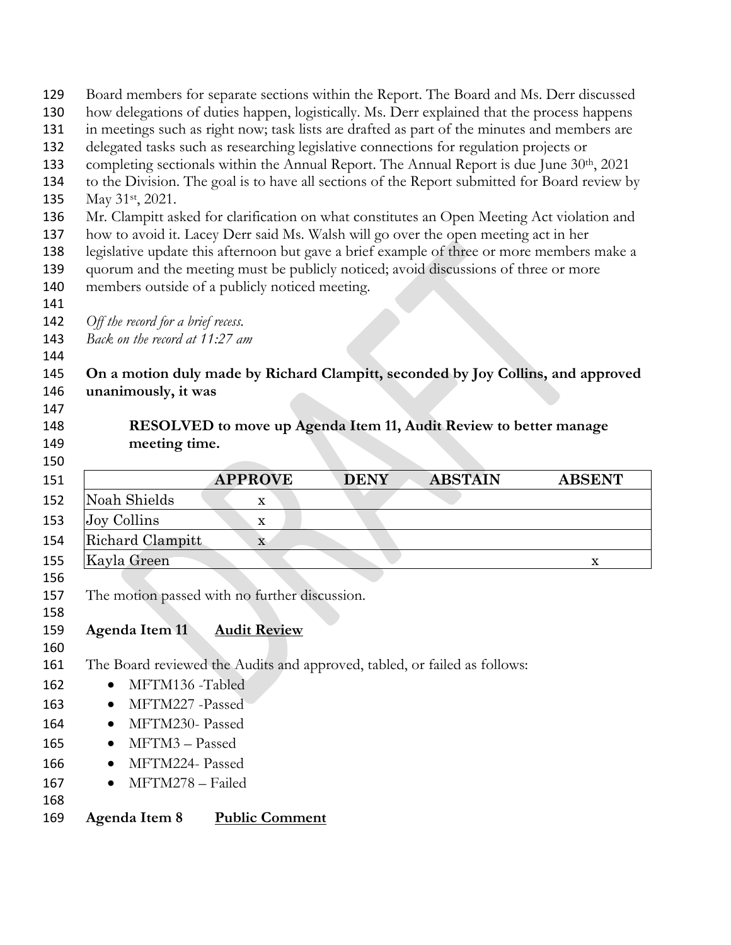| 129<br>130<br>131<br>132<br>133<br>134<br>135 | Board members for separate sections within the Report. The Board and Ms. Derr discussed<br>how delegations of duties happen, logistically. Ms. Derr explained that the process happens<br>in meetings such as right now; task lists are drafted as part of the minutes and members are<br>delegated tasks such as researching legislative connections for regulation projects or<br>completing sectionals within the Annual Report. The Annual Report is due June 30th, 2021<br>to the Division. The goal is to have all sections of the Report submitted for Board review by<br>May 31 <sup>st</sup> , 2021. |                       |             |                                                                   |               |
|-----------------------------------------------|---------------------------------------------------------------------------------------------------------------------------------------------------------------------------------------------------------------------------------------------------------------------------------------------------------------------------------------------------------------------------------------------------------------------------------------------------------------------------------------------------------------------------------------------------------------------------------------------------------------|-----------------------|-------------|-------------------------------------------------------------------|---------------|
| 136<br>137<br>138<br>139<br>140               | Mr. Clampitt asked for clarification on what constitutes an Open Meeting Act violation and<br>how to avoid it. Lacey Derr said Ms. Walsh will go over the open meeting act in her<br>legislative update this afternoon but gave a brief example of three or more members make a<br>quorum and the meeting must be publicly noticed; avoid discussions of three or more<br>members outside of a publicly noticed meeting.                                                                                                                                                                                      |                       |             |                                                                   |               |
| 141                                           |                                                                                                                                                                                                                                                                                                                                                                                                                                                                                                                                                                                                               |                       |             |                                                                   |               |
| 142                                           | Off the record for a brief recess.                                                                                                                                                                                                                                                                                                                                                                                                                                                                                                                                                                            |                       |             |                                                                   |               |
| 143                                           | Back on the record at 11:27 am                                                                                                                                                                                                                                                                                                                                                                                                                                                                                                                                                                                |                       |             |                                                                   |               |
| 144<br>145                                    | On a motion duly made by Richard Clampitt, seconded by Joy Collins, and approved                                                                                                                                                                                                                                                                                                                                                                                                                                                                                                                              |                       |             |                                                                   |               |
| 146                                           | unanimously, it was                                                                                                                                                                                                                                                                                                                                                                                                                                                                                                                                                                                           |                       |             |                                                                   |               |
| 147                                           |                                                                                                                                                                                                                                                                                                                                                                                                                                                                                                                                                                                                               |                       |             |                                                                   |               |
| 148                                           |                                                                                                                                                                                                                                                                                                                                                                                                                                                                                                                                                                                                               |                       |             | RESOLVED to move up Agenda Item 11, Audit Review to better manage |               |
| 149                                           | meeting time.                                                                                                                                                                                                                                                                                                                                                                                                                                                                                                                                                                                                 |                       |             |                                                                   |               |
| 150                                           |                                                                                                                                                                                                                                                                                                                                                                                                                                                                                                                                                                                                               |                       |             |                                                                   |               |
|                                               |                                                                                                                                                                                                                                                                                                                                                                                                                                                                                                                                                                                                               |                       |             |                                                                   |               |
| 151                                           |                                                                                                                                                                                                                                                                                                                                                                                                                                                                                                                                                                                                               | <b>APPROVE</b>        | <b>DENY</b> | <b>ABSTAIN</b>                                                    | <b>ABSENT</b> |
| 152                                           | Noah Shields                                                                                                                                                                                                                                                                                                                                                                                                                                                                                                                                                                                                  | X                     |             |                                                                   |               |
| 153                                           | Joy Collins                                                                                                                                                                                                                                                                                                                                                                                                                                                                                                                                                                                                   | $\mathbf X$           |             |                                                                   |               |
| 154                                           | Richard Clampitt                                                                                                                                                                                                                                                                                                                                                                                                                                                                                                                                                                                              | $\mathbf X$           |             |                                                                   |               |
| 155                                           | Kayla Green                                                                                                                                                                                                                                                                                                                                                                                                                                                                                                                                                                                                   |                       |             |                                                                   | X             |
| 156                                           |                                                                                                                                                                                                                                                                                                                                                                                                                                                                                                                                                                                                               |                       |             |                                                                   |               |
| 157                                           | The motion passed with no further discussion.                                                                                                                                                                                                                                                                                                                                                                                                                                                                                                                                                                 |                       |             |                                                                   |               |
| 158                                           |                                                                                                                                                                                                                                                                                                                                                                                                                                                                                                                                                                                                               |                       |             |                                                                   |               |
| 159                                           | Agenda Item 11                                                                                                                                                                                                                                                                                                                                                                                                                                                                                                                                                                                                | <b>Audit Review</b>   |             |                                                                   |               |
| 160<br>161                                    | The Board reviewed the Audits and approved, tabled, or failed as follows:                                                                                                                                                                                                                                                                                                                                                                                                                                                                                                                                     |                       |             |                                                                   |               |
| 162                                           | MFTM136 -Tabled                                                                                                                                                                                                                                                                                                                                                                                                                                                                                                                                                                                               |                       |             |                                                                   |               |
| 163                                           | MFTM227 -Passed<br>$\bullet$                                                                                                                                                                                                                                                                                                                                                                                                                                                                                                                                                                                  |                       |             |                                                                   |               |
| 164                                           | MFTM230- Passed                                                                                                                                                                                                                                                                                                                                                                                                                                                                                                                                                                                               |                       |             |                                                                   |               |
| 165                                           | MFTM3-Passed<br>$\bullet$                                                                                                                                                                                                                                                                                                                                                                                                                                                                                                                                                                                     |                       |             |                                                                   |               |
| 166                                           | MFTM224- Passed<br>$\bullet$                                                                                                                                                                                                                                                                                                                                                                                                                                                                                                                                                                                  |                       |             |                                                                   |               |
| 167                                           | MFTM278 - Failed                                                                                                                                                                                                                                                                                                                                                                                                                                                                                                                                                                                              |                       |             |                                                                   |               |
| 168                                           |                                                                                                                                                                                                                                                                                                                                                                                                                                                                                                                                                                                                               | <b>Public Comment</b> |             |                                                                   |               |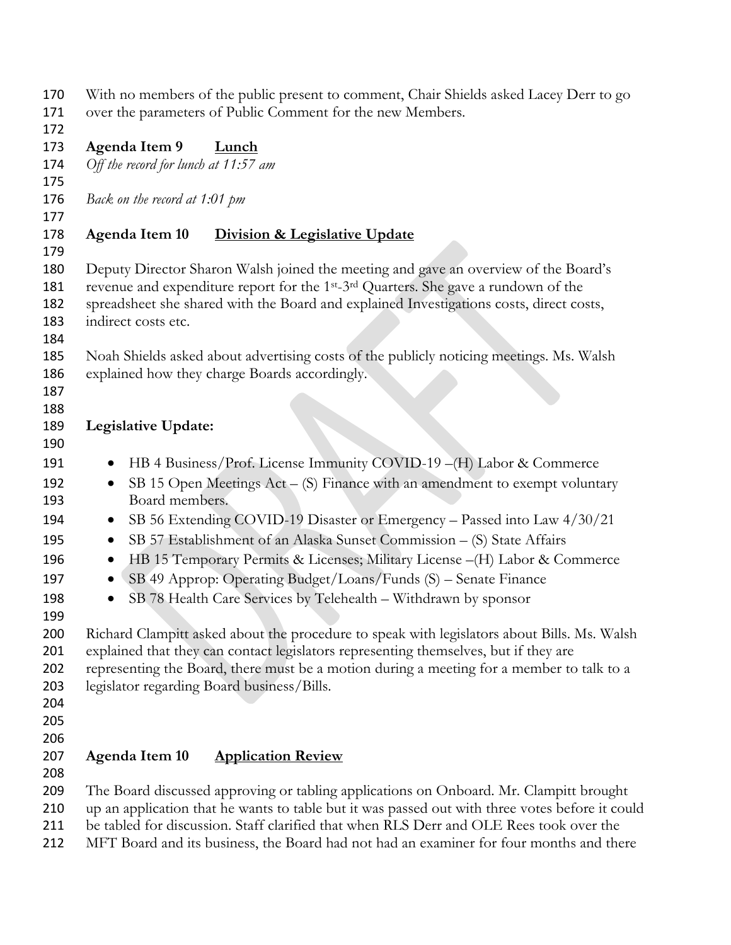| 170                 | With no members of the public present to comment, Chair Shields asked Lacey Derr to go                       |
|---------------------|--------------------------------------------------------------------------------------------------------------|
| 171                 | over the parameters of Public Comment for the new Members.                                                   |
| 172                 |                                                                                                              |
| 173<br>174          | Agenda Item 9<br><b>Lunch</b>                                                                                |
| 175                 | Off the record for lunch at 11:57 am                                                                         |
| 176                 | Back on the record at 1:01 pm                                                                                |
| 177                 |                                                                                                              |
| 178                 | Agenda Item 10<br><b>Division &amp; Legislative Update</b>                                                   |
| 179                 |                                                                                                              |
| 180                 | Deputy Director Sharon Walsh joined the meeting and gave an overview of the Board's                          |
| 181                 | revenue and expenditure report for the 1 <sup>st</sup> -3 <sup>rd</sup> Quarters. She gave a rundown of the  |
| 182                 | spreadsheet she shared with the Board and explained Investigations costs, direct costs,                      |
| 183                 | indirect costs etc.                                                                                          |
| 184                 |                                                                                                              |
| 185                 | Noah Shields asked about advertising costs of the publicly noticing meetings. Ms. Walsh                      |
| 186                 | explained how they charge Boards accordingly.                                                                |
| 187                 |                                                                                                              |
| 188                 |                                                                                                              |
| 189                 | Legislative Update:                                                                                          |
| 190                 |                                                                                                              |
| 191                 | HB 4 Business/Prof. License Immunity COVID-19 - (H) Labor & Commerce                                         |
| 192<br>193          | SB 15 Open Meetings $Act - (S)$ Finance with an amendment to exempt voluntary<br>$\bullet$<br>Board members. |
| 194                 | SB 56 Extending COVID-19 Disaster or Emergency - Passed into Law 4/30/21                                     |
| 195                 | SB 57 Establishment of an Alaska Sunset Commission - (S) State Affairs<br>$\bullet$                          |
| 196                 | HB 15 Temporary Permits & Licenses; Military License -(H) Labor & Commerce<br>$\bullet$                      |
| 197                 | SB 49 Approp: Operating Budget/Loans/Funds (S) – Senate Finance<br>$\bullet$                                 |
| 198                 | SB 78 Health Care Services by Telehealth - Withdrawn by sponsor                                              |
| 199                 |                                                                                                              |
| 200                 | Richard Clampitt asked about the procedure to speak with legislators about Bills. Ms. Walsh                  |
| 201                 | explained that they can contact legislators representing themselves, but if they are                         |
| 202                 | representing the Board, there must be a motion during a meeting for a member to talk to a                    |
| 203                 | legislator regarding Board business/Bills.                                                                   |
| 204                 |                                                                                                              |
| 205                 |                                                                                                              |
| 206                 |                                                                                                              |
| 207                 | Agenda Item 10<br><b>Application Review</b>                                                                  |
| 208                 |                                                                                                              |
| 209                 | The Board discussed approving or tabling applications on Onboard. Mr. Clampitt brought                       |
| 210                 | up an application that he wants to table but it was passed out with three votes before it could              |
| 211<br>າ 4 <b>າ</b> | be tabled for discussion. Staff clarified that when RLS Derr and OLE Rees took over the                      |

MFT Board and its business, the Board had not had an examiner for four months and there